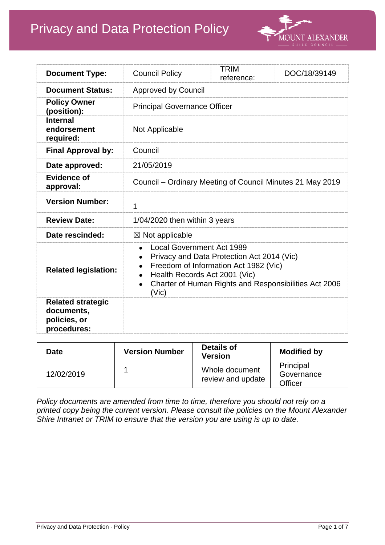# Privacy and Data Protection Policy



| <b>Document Type:</b>                                                 | <b>Council Policy</b>                                                                                                                                                                                                                  | <b>TRIM</b><br>reference: | DOC/18/39149 |
|-----------------------------------------------------------------------|----------------------------------------------------------------------------------------------------------------------------------------------------------------------------------------------------------------------------------------|---------------------------|--------------|
| <b>Document Status:</b>                                               | <b>Approved by Council</b>                                                                                                                                                                                                             |                           |              |
| <b>Policy Owner</b><br>(position):                                    | <b>Principal Governance Officer</b>                                                                                                                                                                                                    |                           |              |
| <b>Internal</b><br>endorsement<br>required:                           | Not Applicable                                                                                                                                                                                                                         |                           |              |
| <b>Final Approval by:</b>                                             | Council                                                                                                                                                                                                                                |                           |              |
| Date approved:                                                        | 21/05/2019                                                                                                                                                                                                                             |                           |              |
| <b>Evidence of</b><br>approval:                                       | Council – Ordinary Meeting of Council Minutes 21 May 2019                                                                                                                                                                              |                           |              |
| <b>Version Number:</b>                                                | 1                                                                                                                                                                                                                                      |                           |              |
| <b>Review Date:</b>                                                   | 1/04/2020 then within 3 years                                                                                                                                                                                                          |                           |              |
| Date rescinded:                                                       | $\boxtimes$ Not applicable                                                                                                                                                                                                             |                           |              |
| <b>Related legislation:</b>                                           | <b>Local Government Act 1989</b><br>Privacy and Data Protection Act 2014 (Vic)<br>Freedom of Information Act 1982 (Vic)<br>Health Records Act 2001 (Vic)<br>Charter of Human Rights and Responsibilities Act 2006<br>(V <sub>i</sub> ) |                           |              |
| <b>Related strategic</b><br>documents,<br>policies, or<br>procedures: |                                                                                                                                                                                                                                        |                           |              |

| <b>Date</b> | <b>Version Number</b> | <b>Details of</b><br><b>Version</b> | <b>Modified by</b>                 |
|-------------|-----------------------|-------------------------------------|------------------------------------|
| 12/02/2019  |                       | Whole document<br>review and update | Principal<br>Governance<br>Officer |

*Policy documents are amended from time to time, therefore you should not rely on a printed copy being the current version. Please consult the policies on the Mount Alexander Shire Intranet or TRIM to ensure that the version you are using is up to date.*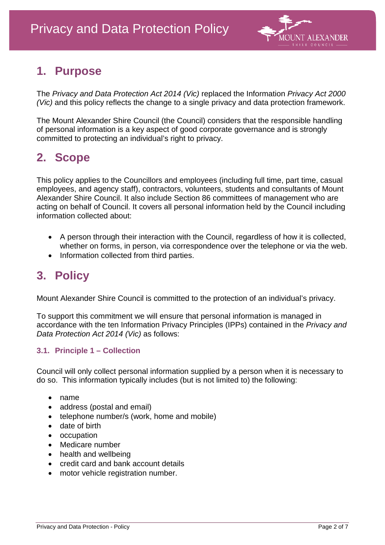

## **1. Purpose**

The *Privacy and Data Protection Act 2014 (Vic)* replaced the Information *Privacy Act 2000 (Vic)* and this policy reflects the change to a single privacy and data protection framework.

The Mount Alexander Shire Council (the Council) considers that the responsible handling of personal information is a key aspect of good corporate governance and is strongly committed to protecting an individual's right to privacy.

### **2. Scope**

This policy applies to the Councillors and employees (including full time, part time, casual employees, and agency staff), contractors, volunteers, students and consultants of Mount Alexander Shire Council. It also include Section 86 committees of management who are acting on behalf of Council. It covers all personal information held by the Council including information collected about:

- A person through their interaction with the Council, regardless of how it is collected, whether on forms, in person, via correspondence over the telephone or via the web.
- Information collected from third parties.

## **3. Policy**

Mount Alexander Shire Council is committed to the protection of an individual's privacy.

To support this commitment we will ensure that personal information is managed in accordance with the ten Information Privacy Principles (IPPs) contained in the *Privacy and Data Protection Act 2014 (Vic)* as follows:

### **3.1. Principle 1 – Collection**

Council will only collect personal information supplied by a person when it is necessary to do so. This information typically includes (but is not limited to) the following:

- name
- address (postal and email)
- telephone number/s (work, home and mobile)
- date of birth
- occupation
- Medicare number
- health and wellbeing
- credit card and bank account details
- motor vehicle registration number.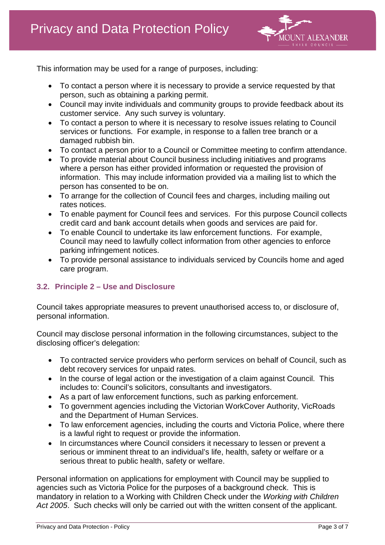

This information may be used for a range of purposes, including:

- To contact a person where it is necessary to provide a service requested by that person, such as obtaining a parking permit.
- Council may invite individuals and community groups to provide feedback about its customer service. Any such survey is voluntary.
- To contact a person to where it is necessary to resolve issues relating to Council services or functions. For example, in response to a fallen tree branch or a damaged rubbish bin.
- To contact a person prior to a Council or Committee meeting to confirm attendance.
- To provide material about Council business including initiatives and programs where a person has either provided information or requested the provision of information. This may include information provided via a mailing list to which the person has consented to be on.
- To arrange for the collection of Council fees and charges, including mailing out rates notices.
- To enable payment for Council fees and services. For this purpose Council collects credit card and bank account details when goods and services are paid for.
- To enable Council to undertake its law enforcement functions. For example, Council may need to lawfully collect information from other agencies to enforce parking infringement notices.
- To provide personal assistance to individuals serviced by Councils home and aged care program.

### **3.2. Principle 2 – Use and Disclosure**

Council takes appropriate measures to prevent unauthorised access to, or disclosure of, personal information.

Council may disclose personal information in the following circumstances, subject to the disclosing officer's delegation:

- To contracted service providers who perform services on behalf of Council, such as debt recovery services for unpaid rates.
- In the course of legal action or the investigation of a claim against Council. This includes to: Council's solicitors, consultants and investigators.
- As a part of law enforcement functions, such as parking enforcement.
- To government agencies including the Victorian WorkCover Authority, VicRoads and the Department of Human Services.
- To law enforcement agencies, including the courts and Victoria Police, where there is a lawful right to request or provide the information.
- In circumstances where Council considers it necessary to lessen or prevent a serious or imminent threat to an individual's life, health, safety or welfare or a serious threat to public health, safety or welfare.

Personal information on applications for employment with Council may be supplied to agencies such as Victoria Police for the purposes of a background check. This is mandatory in relation to a Working with Children Check under the *Working with Children Act 2005*. Such checks will only be carried out with the written consent of the applicant.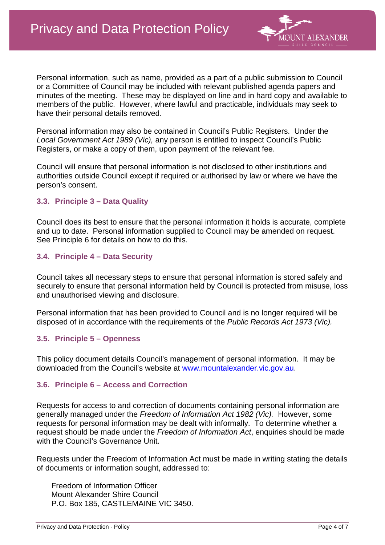

Personal information, such as name, provided as a part of a public submission to Council or a Committee of Council may be included with relevant published agenda papers and minutes of the meeting. These may be displayed on line and in hard copy and available to members of the public. However, where lawful and practicable, individuals may seek to have their personal details removed.

Personal information may also be contained in Council's Public Registers. Under the *Local Government Act 1989 (Vic),* any person is entitled to inspect Council's Public Registers, or make a copy of them, upon payment of the relevant fee.

Council will ensure that personal information is not disclosed to other institutions and authorities outside Council except if required or authorised by law or where we have the person's consent.

#### **3.3. Principle 3 – Data Quality**

Council does its best to ensure that the personal information it holds is accurate, complete and up to date. Personal information supplied to Council may be amended on request. See Principle 6 for details on how to do this.

#### **3.4. Principle 4 – Data Security**

Council takes all necessary steps to ensure that personal information is stored safely and securely to ensure that personal information held by Council is protected from misuse, loss and unauthorised viewing and disclosure.

Personal information that has been provided to Council and is no longer required will be disposed of in accordance with the requirements of the *Public Records Act 1973 (Vic).*

#### **3.5. Principle 5 – Openness**

This policy document details Council's management of personal information. It may be downloaded from the Council's website at [www.mountalexander.vic.gov.au.](http://www.mountalexander.vic.gov.au/)

#### **3.6. Principle 6 – Access and Correction**

Requests for access to and correction of documents containing personal information are generally managed under the *Freedom of Information Act 1982 (Vic).* However, some requests for personal information may be dealt with informally. To determine whether a request should be made under the *Freedom of Information Act*, enquiries should be made with the Council's Governance Unit.

Requests under the Freedom of Information Act must be made in writing stating the details of documents or information sought, addressed to:

Freedom of Information Officer Mount Alexander Shire Council P.O. Box 185, CASTLEMAINE VIC 3450.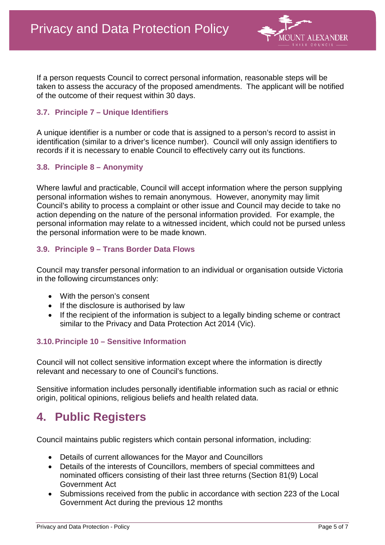

If a person requests Council to correct personal information, reasonable steps will be taken to assess the accuracy of the proposed amendments. The applicant will be notified of the outcome of their request within 30 days.

#### **3.7. Principle 7 – Unique Identifiers**

A unique identifier is a number or code that is assigned to a person's record to assist in identification (similar to a driver's licence number). Council will only assign identifiers to records if it is necessary to enable Council to effectively carry out its functions.

#### **3.8. Principle 8 – Anonymity**

Where lawful and practicable, Council will accept information where the person supplying personal information wishes to remain anonymous. However, anonymity may limit Council's ability to process a complaint or other issue and Council may decide to take no action depending on the nature of the personal information provided. For example, the personal information may relate to a witnessed incident, which could not be pursed unless the personal information were to be made known.

#### **3.9. Principle 9 – Trans Border Data Flows**

Council may transfer personal information to an individual or organisation outside Victoria in the following circumstances only:

- With the person's consent
- If the disclosure is authorised by law
- If the recipient of the information is subject to a legally binding scheme or contract similar to the Privacy and Data Protection Act 2014 (Vic).

### **3.10.Principle 10 – Sensitive Information**

Council will not collect sensitive information except where the information is directly relevant and necessary to one of Council's functions.

Sensitive information includes personally identifiable information such as racial or ethnic origin, political opinions, religious beliefs and health related data.

### **4. Public Registers**

Council maintains public registers which contain personal information, including:

- Details of current allowances for the Mayor and Councillors
- Details of the interests of Councillors, members of special committees and nominated officers consisting of their last three returns (Section 81(9) Local Government Act
- Submissions received from the public in accordance with section 223 of the Local Government Act during the previous 12 months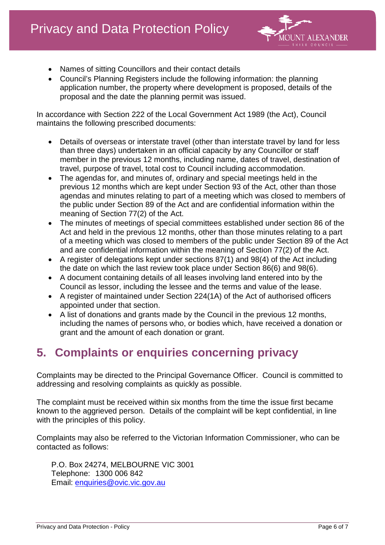

- Names of sitting Councillors and their contact details
- Council's Planning Registers include the following information: the planning application number, the property where development is proposed, details of the proposal and the date the planning permit was issued.

In accordance with Section 222 of the Local Government Act 1989 (the Act), Council maintains the following prescribed documents:

- Details of overseas or interstate travel (other than interstate travel by land for less than three days) undertaken in an official capacity by any Councillor or staff member in the previous 12 months, including name, dates of travel, destination of travel, purpose of travel, total cost to Council including accommodation.
- The agendas for, and minutes of, ordinary and special meetings held in the previous 12 months which are kept under Section 93 of the Act, other than those agendas and minutes relating to part of a meeting which was closed to members of the public under Section 89 of the Act and are confidential information within the meaning of Section 77(2) of the Act.
- The minutes of meetings of special committees established under section 86 of the Act and held in the previous 12 months, other than those minutes relating to a part of a meeting which was closed to members of the public under Section 89 of the Act and are confidential information within the meaning of Section 77(2) of the Act.
- A register of delegations kept under sections 87(1) and 98(4) of the Act including the date on which the last review took place under Section 86(6) and 98(6).
- A document containing details of all leases involving land entered into by the Council as lessor, including the lessee and the terms and value of the lease.
- A register of maintained under Section 224(1A) of the Act of authorised officers appointed under that section.
- A list of donations and grants made by the Council in the previous 12 months, including the names of persons who, or bodies which, have received a donation or grant and the amount of each donation or grant.

## **5. Complaints or enquiries concerning privacy**

Complaints may be directed to the Principal Governance Officer. Council is committed to addressing and resolving complaints as quickly as possible.

The complaint must be received within six months from the time the issue first became known to the aggrieved person. Details of the complaint will be kept confidential, in line with the principles of this policy.

Complaints may also be referred to the Victorian Information Commissioner, who can be contacted as follows:

P.O. Box 24274, MELBOURNE VIC 3001 Telephone: 1300 006 842 Email: [enquiries@ovic.vic.gov.au](mailto:enquiries@ovic.vic.gov.au)